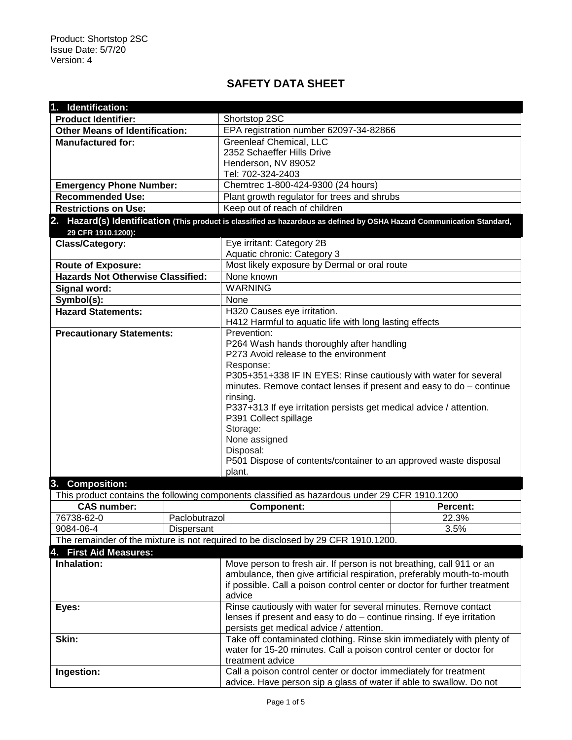## **SAFETY DATA SHEET**

| 1. Identification:                                                                |               |                                                                                                                                             |                 |  |  |  |
|-----------------------------------------------------------------------------------|---------------|---------------------------------------------------------------------------------------------------------------------------------------------|-----------------|--|--|--|
| <b>Product Identifier:</b>                                                        |               | Shortstop 2SC                                                                                                                               |                 |  |  |  |
| <b>Other Means of Identification:</b>                                             |               | EPA registration number 62097-34-82866                                                                                                      |                 |  |  |  |
| <b>Manufactured for:</b>                                                          |               | <b>Greenleaf Chemical, LLC</b>                                                                                                              |                 |  |  |  |
|                                                                                   |               | 2352 Schaeffer Hills Drive                                                                                                                  |                 |  |  |  |
|                                                                                   |               | Henderson, NV 89052                                                                                                                         |                 |  |  |  |
|                                                                                   |               | Tel: 702-324-2403                                                                                                                           |                 |  |  |  |
| <b>Emergency Phone Number:</b>                                                    |               | Chemtrec 1-800-424-9300 (24 hours)                                                                                                          |                 |  |  |  |
| <b>Recommended Use:</b>                                                           |               | Plant growth regulator for trees and shrubs                                                                                                 |                 |  |  |  |
| <b>Restrictions on Use:</b>                                                       |               | Keep out of reach of children                                                                                                               |                 |  |  |  |
|                                                                                   |               | 2. Hazard(s) Identification (This product is classified as hazardous as defined by OSHA Hazard Communication Standard,                      |                 |  |  |  |
| 29 CFR 1910.1200):                                                                |               |                                                                                                                                             |                 |  |  |  |
| <b>Class/Category:</b>                                                            |               | Eye irritant: Category 2B                                                                                                                   |                 |  |  |  |
|                                                                                   |               | Aquatic chronic: Category 3                                                                                                                 |                 |  |  |  |
| <b>Route of Exposure:</b>                                                         |               | Most likely exposure by Dermal or oral route                                                                                                |                 |  |  |  |
| <b>Hazards Not Otherwise Classified:</b>                                          |               | None known                                                                                                                                  |                 |  |  |  |
| Signal word:                                                                      |               | <b>WARNING</b>                                                                                                                              |                 |  |  |  |
| Symbol(s):                                                                        |               | None                                                                                                                                        |                 |  |  |  |
| <b>Hazard Statements:</b>                                                         |               | H320 Causes eye irritation.                                                                                                                 |                 |  |  |  |
|                                                                                   |               | H412 Harmful to aquatic life with long lasting effects                                                                                      |                 |  |  |  |
| <b>Precautionary Statements:</b>                                                  |               | Prevention:                                                                                                                                 |                 |  |  |  |
|                                                                                   |               | P264 Wash hands thoroughly after handling                                                                                                   |                 |  |  |  |
|                                                                                   |               | P273 Avoid release to the environment                                                                                                       |                 |  |  |  |
|                                                                                   |               | Response:                                                                                                                                   |                 |  |  |  |
|                                                                                   |               | P305+351+338 IF IN EYES: Rinse cautiously with water for several                                                                            |                 |  |  |  |
|                                                                                   |               | minutes. Remove contact lenses if present and easy to $do$ – continue                                                                       |                 |  |  |  |
|                                                                                   |               | rinsing.                                                                                                                                    |                 |  |  |  |
|                                                                                   |               | P337+313 If eye irritation persists get medical advice / attention.<br>P391 Collect spillage                                                |                 |  |  |  |
|                                                                                   |               | Storage:                                                                                                                                    |                 |  |  |  |
|                                                                                   |               | None assigned                                                                                                                               |                 |  |  |  |
|                                                                                   |               | Disposal:                                                                                                                                   |                 |  |  |  |
|                                                                                   |               | P501 Dispose of contents/container to an approved waste disposal                                                                            |                 |  |  |  |
|                                                                                   |               | plant.                                                                                                                                      |                 |  |  |  |
| 3. Composition:                                                                   |               |                                                                                                                                             |                 |  |  |  |
|                                                                                   |               | This product contains the following components classified as hazardous under 29 CFR 1910.1200                                               |                 |  |  |  |
| <b>CAS number:</b>                                                                |               | <b>Component:</b>                                                                                                                           | <b>Percent:</b> |  |  |  |
| 76738-62-0                                                                        | Paclobutrazol |                                                                                                                                             | 22.3%           |  |  |  |
| 9084-06-4                                                                         | Dispersant    |                                                                                                                                             | 3.5%            |  |  |  |
| The remainder of the mixture is not required to be disclosed by 29 CFR 1910.1200. |               |                                                                                                                                             |                 |  |  |  |
| 4. First Aid Measures:                                                            |               |                                                                                                                                             |                 |  |  |  |
| Inhalation:                                                                       |               | Move person to fresh air. If person is not breathing, call 911 or an                                                                        |                 |  |  |  |
|                                                                                   |               | ambulance, then give artificial respiration, preferably mouth-to-mouth                                                                      |                 |  |  |  |
|                                                                                   |               | if possible. Call a poison control center or doctor for further treatment                                                                   |                 |  |  |  |
|                                                                                   |               | advice                                                                                                                                      |                 |  |  |  |
| Eyes:                                                                             |               | Rinse cautiously with water for several minutes. Remove contact<br>lenses if present and easy to $do$ – continue rinsing. If eye irritation |                 |  |  |  |
|                                                                                   |               | persists get medical advice / attention.                                                                                                    |                 |  |  |  |
| Skin:                                                                             |               | Take off contaminated clothing. Rinse skin immediately with plenty of                                                                       |                 |  |  |  |
|                                                                                   |               | water for 15-20 minutes. Call a poison control center or doctor for                                                                         |                 |  |  |  |
|                                                                                   |               | treatment advice                                                                                                                            |                 |  |  |  |
| Ingestion:                                                                        |               | Call a poison control center or doctor immediately for treatment                                                                            |                 |  |  |  |
|                                                                                   |               | advice. Have person sip a glass of water if able to swallow. Do not                                                                         |                 |  |  |  |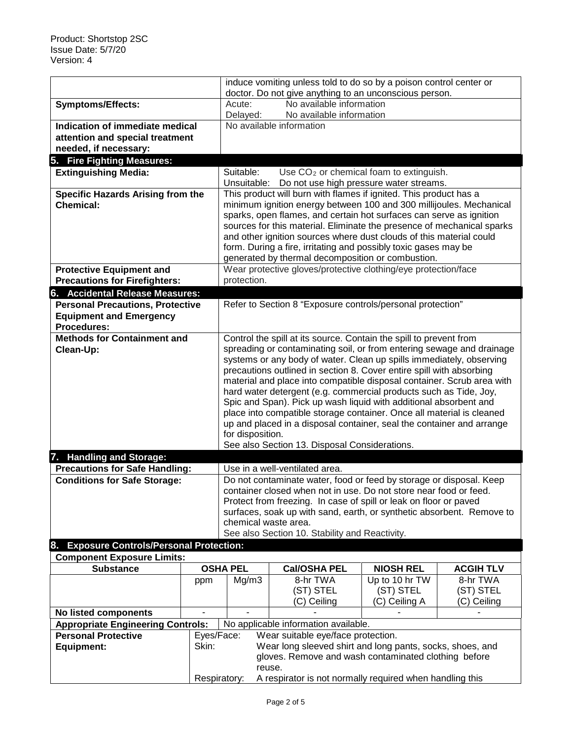|                                                                                                          |       | induce vomiting unless told to do so by a poison control center or                                                                          |                                                                                                |                  |                  |  |
|----------------------------------------------------------------------------------------------------------|-------|---------------------------------------------------------------------------------------------------------------------------------------------|------------------------------------------------------------------------------------------------|------------------|------------------|--|
|                                                                                                          |       | doctor. Do not give anything to an unconscious person.                                                                                      |                                                                                                |                  |                  |  |
| <b>Symptoms/Effects:</b>                                                                                 |       | No available information<br>Acute:                                                                                                          |                                                                                                |                  |                  |  |
|                                                                                                          |       | Delayed:                                                                                                                                    | No available information                                                                       |                  |                  |  |
| Indication of immediate medical                                                                          |       | No available information                                                                                                                    |                                                                                                |                  |                  |  |
| attention and special treatment                                                                          |       |                                                                                                                                             |                                                                                                |                  |                  |  |
| needed, if necessary:                                                                                    |       |                                                                                                                                             |                                                                                                |                  |                  |  |
| 5. Fire Fighting Measures:                                                                               |       |                                                                                                                                             |                                                                                                |                  |                  |  |
| <b>Extinguishing Media:</b>                                                                              |       | Suitable:<br>Unsuitable:                                                                                                                    | Use CO <sub>2</sub> or chemical foam to extinguish.<br>Do not use high pressure water streams. |                  |                  |  |
| <b>Specific Hazards Arising from the</b>                                                                 |       |                                                                                                                                             |                                                                                                |                  |                  |  |
| <b>Chemical:</b>                                                                                         |       | This product will burn with flames if ignited. This product has a<br>minimum ignition energy between 100 and 300 millijoules. Mechanical    |                                                                                                |                  |                  |  |
|                                                                                                          |       | sparks, open flames, and certain hot surfaces can serve as ignition                                                                         |                                                                                                |                  |                  |  |
|                                                                                                          |       | sources for this material. Eliminate the presence of mechanical sparks                                                                      |                                                                                                |                  |                  |  |
|                                                                                                          |       |                                                                                                                                             | and other ignition sources where dust clouds of this material could                            |                  |                  |  |
|                                                                                                          |       | form. During a fire, irritating and possibly toxic gases may be<br>generated by thermal decomposition or combustion.                        |                                                                                                |                  |                  |  |
|                                                                                                          |       |                                                                                                                                             |                                                                                                |                  |                  |  |
| <b>Protective Equipment and</b><br><b>Precautions for Firefighters:</b>                                  |       | Wear protective gloves/protective clothing/eye protection/face<br>protection.                                                               |                                                                                                |                  |                  |  |
| 6. Accidental Release Measures:                                                                          |       |                                                                                                                                             |                                                                                                |                  |                  |  |
| <b>Personal Precautions, Protective</b>                                                                  |       | Refer to Section 8 "Exposure controls/personal protection"                                                                                  |                                                                                                |                  |                  |  |
| <b>Equipment and Emergency</b>                                                                           |       |                                                                                                                                             |                                                                                                |                  |                  |  |
| <b>Procedures:</b>                                                                                       |       |                                                                                                                                             |                                                                                                |                  |                  |  |
| <b>Methods for Containment and</b><br>Control the spill at its source. Contain the spill to prevent from |       |                                                                                                                                             |                                                                                                |                  |                  |  |
| Clean-Up:                                                                                                |       | spreading or contaminating soil, or from entering sewage and drainage                                                                       |                                                                                                |                  |                  |  |
|                                                                                                          |       |                                                                                                                                             | systems or any body of water. Clean up spills immediately, observing                           |                  |                  |  |
|                                                                                                          |       |                                                                                                                                             | precautions outlined in section 8. Cover entire spill with absorbing                           |                  |                  |  |
|                                                                                                          |       | material and place into compatible disposal container. Scrub area with<br>hard water detergent (e.g. commercial products such as Tide, Joy, |                                                                                                |                  |                  |  |
|                                                                                                          |       | Spic and Span). Pick up wash liquid with additional absorbent and                                                                           |                                                                                                |                  |                  |  |
|                                                                                                          |       | place into compatible storage container. Once all material is cleaned                                                                       |                                                                                                |                  |                  |  |
|                                                                                                          |       | up and placed in a disposal container, seal the container and arrange                                                                       |                                                                                                |                  |                  |  |
|                                                                                                          |       | for disposition.<br>See also Section 13. Disposal Considerations.                                                                           |                                                                                                |                  |                  |  |
|                                                                                                          |       |                                                                                                                                             |                                                                                                |                  |                  |  |
| 7. Handling and Storage:                                                                                 |       | Use in a well-ventilated area.                                                                                                              |                                                                                                |                  |                  |  |
| <b>Precautions for Safe Handling:</b><br><b>Conditions for Safe Storage:</b>                             |       | Do not contaminate water, food or feed by storage or disposal. Keep                                                                         |                                                                                                |                  |                  |  |
|                                                                                                          |       | container closed when not in use. Do not store near food or feed.                                                                           |                                                                                                |                  |                  |  |
|                                                                                                          |       | Protect from freezing. In case of spill or leak on floor or paved                                                                           |                                                                                                |                  |                  |  |
|                                                                                                          |       | surfaces, soak up with sand, earth, or synthetic absorbent. Remove to                                                                       |                                                                                                |                  |                  |  |
|                                                                                                          |       | chemical waste area.<br>See also Section 10. Stability and Reactivity.                                                                      |                                                                                                |                  |                  |  |
|                                                                                                          |       |                                                                                                                                             |                                                                                                |                  |                  |  |
| 8. Exposure Controls/Personal Protection:<br><b>Component Exposure Limits:</b>                           |       |                                                                                                                                             |                                                                                                |                  |                  |  |
| <b>Substance</b>                                                                                         |       | <b>OSHA PEL</b>                                                                                                                             | <b>Cal/OSHA PEL</b>                                                                            | <b>NIOSH REL</b> | <b>ACGIH TLV</b> |  |
|                                                                                                          | ppm   | Mg/m3                                                                                                                                       | 8-hr TWA                                                                                       | Up to 10 hr TW   | 8-hr TWA         |  |
|                                                                                                          |       |                                                                                                                                             | (ST) STEL                                                                                      | (ST) STEL        | (ST) STEL        |  |
|                                                                                                          |       |                                                                                                                                             | (C) Ceiling                                                                                    | (C) Ceiling A    | (C) Ceiling      |  |
| No listed components                                                                                     |       |                                                                                                                                             |                                                                                                |                  |                  |  |
| <b>Appropriate Engineering Controls:</b>                                                                 |       |                                                                                                                                             | No applicable information available.                                                           |                  |                  |  |
| <b>Personal Protective</b>                                                                               |       | Eyes/Face:<br>Wear suitable eye/face protection.                                                                                            |                                                                                                |                  |                  |  |
| <b>Equipment:</b>                                                                                        | Skin: | Wear long sleeved shirt and long pants, socks, shoes, and                                                                                   |                                                                                                |                  |                  |  |
|                                                                                                          |       | gloves. Remove and wash contaminated clothing before<br>reuse.                                                                              |                                                                                                |                  |                  |  |
|                                                                                                          |       | A respirator is not normally required when handling this<br>Respiratory:                                                                    |                                                                                                |                  |                  |  |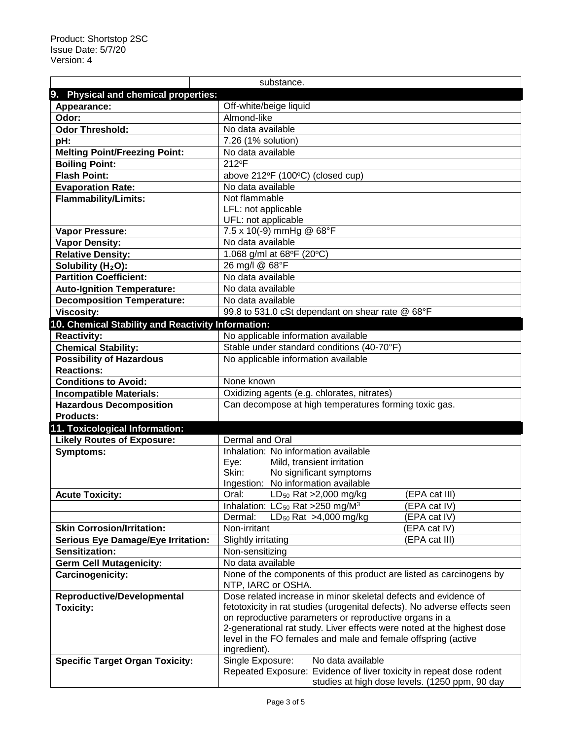|                                                                                | substance.                                                                                                                              |  |  |  |  |
|--------------------------------------------------------------------------------|-----------------------------------------------------------------------------------------------------------------------------------------|--|--|--|--|
| 9. Physical and chemical properties:                                           |                                                                                                                                         |  |  |  |  |
| Appearance:                                                                    | Off-white/beige liquid                                                                                                                  |  |  |  |  |
| Odor:                                                                          | Almond-like                                                                                                                             |  |  |  |  |
| <b>Odor Threshold:</b>                                                         | No data available                                                                                                                       |  |  |  |  |
| pH:                                                                            | 7.26 (1% solution)                                                                                                                      |  |  |  |  |
| <b>Melting Point/Freezing Point:</b>                                           | No data available                                                                                                                       |  |  |  |  |
| <b>Boiling Point:</b>                                                          | 212°F                                                                                                                                   |  |  |  |  |
| <b>Flash Point:</b>                                                            | above 212°F (100°C) (closed cup)                                                                                                        |  |  |  |  |
| <b>Evaporation Rate:</b>                                                       | No data available                                                                                                                       |  |  |  |  |
| <b>Flammability/Limits:</b>                                                    | Not flammable                                                                                                                           |  |  |  |  |
|                                                                                | LFL: not applicable                                                                                                                     |  |  |  |  |
|                                                                                | UFL: not applicable                                                                                                                     |  |  |  |  |
| <b>Vapor Pressure:</b>                                                         | 7.5 x 10(-9) mmHg @ 68°F                                                                                                                |  |  |  |  |
| <b>Vapor Density:</b>                                                          | No data available                                                                                                                       |  |  |  |  |
| <b>Relative Density:</b>                                                       | 1.068 g/ml at 68°F (20°C)                                                                                                               |  |  |  |  |
| Solubility (H <sub>2</sub> O):                                                 | 26 mg/l @ 68°F                                                                                                                          |  |  |  |  |
| <b>Partition Coefficient:</b>                                                  | No data available                                                                                                                       |  |  |  |  |
| <b>Auto-Ignition Temperature:</b>                                              | No data available                                                                                                                       |  |  |  |  |
| <b>Decomposition Temperature:</b>                                              | No data available                                                                                                                       |  |  |  |  |
| <b>Viscosity:</b>                                                              | 99.8 to 531.0 cSt dependant on shear rate @ 68°F                                                                                        |  |  |  |  |
| 10. Chemical Stability and Reactivity Information:                             |                                                                                                                                         |  |  |  |  |
| <b>Reactivity:</b>                                                             | No applicable information available                                                                                                     |  |  |  |  |
| <b>Chemical Stability:</b>                                                     | Stable under standard conditions (40-70°F)                                                                                              |  |  |  |  |
| <b>Possibility of Hazardous</b>                                                | No applicable information available                                                                                                     |  |  |  |  |
| <b>Reactions:</b>                                                              |                                                                                                                                         |  |  |  |  |
| <b>Conditions to Avoid:</b>                                                    | None known                                                                                                                              |  |  |  |  |
| <b>Incompatible Materials:</b>                                                 | Oxidizing agents (e.g. chlorates, nitrates)                                                                                             |  |  |  |  |
| <b>Hazardous Decomposition</b>                                                 | Can decompose at high temperatures forming toxic gas.                                                                                   |  |  |  |  |
| <b>Products:</b>                                                               |                                                                                                                                         |  |  |  |  |
| 11. Toxicological Information:                                                 |                                                                                                                                         |  |  |  |  |
| <b>Likely Routes of Exposure:</b>                                              | <b>Dermal and Oral</b>                                                                                                                  |  |  |  |  |
| <b>Symptoms:</b>                                                               | Inhalation: No information available                                                                                                    |  |  |  |  |
|                                                                                | Mild, transient irritation<br>Eye:                                                                                                      |  |  |  |  |
|                                                                                | Skin:<br>No significant symptoms                                                                                                        |  |  |  |  |
|                                                                                | Ingestion: No information available                                                                                                     |  |  |  |  |
| <b>Acute Toxicity:</b>                                                         | (EPA cat III)<br>Oral:<br>$LD_{50}$ Rat >2,000 mg/kg                                                                                    |  |  |  |  |
|                                                                                | Inhalation: $LC_{50}$ Rat > 250 mg/M <sup>3</sup><br>(EPA cat IV)<br>LD <sub>50</sub> Rat $>4,000$ mg/kg                                |  |  |  |  |
|                                                                                | Dermal:<br>(EPA cat IV)<br>Non-irritant<br>(EPA cat IV)                                                                                 |  |  |  |  |
| <b>Skin Corrosion/Irritation:</b><br><b>Serious Eye Damage/Eye Irritation:</b> | (EPA cat III)                                                                                                                           |  |  |  |  |
| Sensitization:                                                                 | <b>Slightly irritating</b><br>Non-sensitizing                                                                                           |  |  |  |  |
| <b>Germ Cell Mutagenicity:</b>                                                 | No data available                                                                                                                       |  |  |  |  |
| <b>Carcinogenicity:</b>                                                        |                                                                                                                                         |  |  |  |  |
|                                                                                | None of the components of this product are listed as carcinogens by<br>NTP, IARC or OSHA.                                               |  |  |  |  |
| <b>Reproductive/Developmental</b>                                              | Dose related increase in minor skeletal defects and evidence of                                                                         |  |  |  |  |
| <b>Toxicity:</b>                                                               | fetotoxicity in rat studies (urogenital defects). No adverse effects seen                                                               |  |  |  |  |
|                                                                                | on reproductive parameters or reproductive organs in a                                                                                  |  |  |  |  |
|                                                                                | 2-generational rat study. Liver effects were noted at the highest dose<br>level in the FO females and male and female offspring (active |  |  |  |  |
|                                                                                | ingredient).                                                                                                                            |  |  |  |  |
| <b>Specific Target Organ Toxicity:</b>                                         | Single Exposure:<br>No data available                                                                                                   |  |  |  |  |
|                                                                                | Repeated Exposure: Evidence of liver toxicity in repeat dose rodent                                                                     |  |  |  |  |
|                                                                                | studies at high dose levels. (1250 ppm, 90 day                                                                                          |  |  |  |  |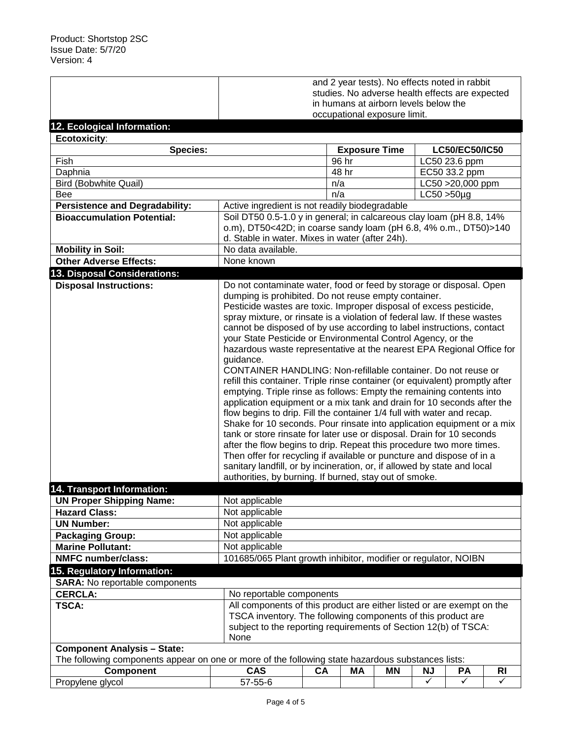|                                                                                                                                         | and 2 year tests). No effects noted in rabbit                                                                                                 |                                                                      |                          |    |                   |                |           |
|-----------------------------------------------------------------------------------------------------------------------------------------|-----------------------------------------------------------------------------------------------------------------------------------------------|----------------------------------------------------------------------|--------------------------|----|-------------------|----------------|-----------|
|                                                                                                                                         | studies. No adverse health effects are expected                                                                                               |                                                                      |                          |    |                   |                |           |
|                                                                                                                                         | in humans at airborn levels below the                                                                                                         |                                                                      |                          |    |                   |                |           |
|                                                                                                                                         |                                                                                                                                               | occupational exposure limit.                                         |                          |    |                   |                |           |
| 12. Ecological Information:                                                                                                             |                                                                                                                                               |                                                                      |                          |    |                   |                |           |
| Ecotoxicity:                                                                                                                            |                                                                                                                                               |                                                                      |                          |    |                   |                |           |
| <b>Species:</b>                                                                                                                         |                                                                                                                                               |                                                                      | <b>Exposure Time</b>     |    |                   | LC50/EC50/IC50 |           |
| Fish                                                                                                                                    |                                                                                                                                               |                                                                      | 96 hr                    |    |                   | LC50 23.6 ppm  |           |
| Daphnia                                                                                                                                 |                                                                                                                                               |                                                                      | 48 hr                    |    |                   | EC50 33.2 ppm  |           |
| <b>Bird (Bobwhite Quail)</b>                                                                                                            |                                                                                                                                               | n/a                                                                  |                          |    | LC50 > 20,000 ppm |                |           |
| <b>Bee</b>                                                                                                                              |                                                                                                                                               |                                                                      | n/a<br>$LC50 > 50 \mu g$ |    |                   |                |           |
| <b>Persistence and Degradability:</b>                                                                                                   | Active ingredient is not readily biodegradable                                                                                                |                                                                      |                          |    |                   |                |           |
| <b>Bioaccumulation Potential:</b>                                                                                                       |                                                                                                                                               | Soil DT50 0.5-1.0 y in general; in calcareous clay loam (pH 8.8, 14% |                          |    |                   |                |           |
|                                                                                                                                         | o.m), DT50<42D; in coarse sandy loam (pH 6.8, 4% o.m., DT50)>140                                                                              |                                                                      |                          |    |                   |                |           |
|                                                                                                                                         | d. Stable in water. Mixes in water (after 24h).                                                                                               |                                                                      |                          |    |                   |                |           |
| <b>Mobility in Soil:</b>                                                                                                                | No data available.                                                                                                                            |                                                                      |                          |    |                   |                |           |
| <b>Other Adverse Effects:</b>                                                                                                           | None known                                                                                                                                    |                                                                      |                          |    |                   |                |           |
| 13. Disposal Considerations:                                                                                                            |                                                                                                                                               |                                                                      |                          |    |                   |                |           |
| <b>Disposal Instructions:</b>                                                                                                           | Do not contaminate water, food or feed by storage or disposal. Open                                                                           |                                                                      |                          |    |                   |                |           |
|                                                                                                                                         | dumping is prohibited. Do not reuse empty container.                                                                                          |                                                                      |                          |    |                   |                |           |
|                                                                                                                                         | Pesticide wastes are toxic. Improper disposal of excess pesticide,                                                                            |                                                                      |                          |    |                   |                |           |
|                                                                                                                                         | spray mixture, or rinsate is a violation of federal law. If these wastes                                                                      |                                                                      |                          |    |                   |                |           |
|                                                                                                                                         | cannot be disposed of by use according to label instructions, contact                                                                         |                                                                      |                          |    |                   |                |           |
|                                                                                                                                         | your State Pesticide or Environmental Control Agency, or the                                                                                  |                                                                      |                          |    |                   |                |           |
|                                                                                                                                         | hazardous waste representative at the nearest EPA Regional Office for                                                                         |                                                                      |                          |    |                   |                |           |
|                                                                                                                                         | guidance.                                                                                                                                     |                                                                      |                          |    |                   |                |           |
|                                                                                                                                         | CONTAINER HANDLING: Non-refillable container. Do not reuse or                                                                                 |                                                                      |                          |    |                   |                |           |
|                                                                                                                                         | refill this container. Triple rinse container (or equivalent) promptly after                                                                  |                                                                      |                          |    |                   |                |           |
|                                                                                                                                         | emptying. Triple rinse as follows: Empty the remaining contents into                                                                          |                                                                      |                          |    |                   |                |           |
|                                                                                                                                         | application equipment or a mix tank and drain for 10 seconds after the                                                                        |                                                                      |                          |    |                   |                |           |
|                                                                                                                                         | flow begins to drip. Fill the container 1/4 full with water and recap.                                                                        |                                                                      |                          |    |                   |                |           |
|                                                                                                                                         | Shake for 10 seconds. Pour rinsate into application equipment or a mix                                                                        |                                                                      |                          |    |                   |                |           |
|                                                                                                                                         | tank or store rinsate for later use or disposal. Drain for 10 seconds<br>after the flow begins to drip. Repeat this procedure two more times. |                                                                      |                          |    |                   |                |           |
|                                                                                                                                         | Then offer for recycling if available or puncture and dispose of in a                                                                         |                                                                      |                          |    |                   |                |           |
|                                                                                                                                         | sanitary landfill, or by incineration, or, if allowed by state and local                                                                      |                                                                      |                          |    |                   |                |           |
|                                                                                                                                         |                                                                                                                                               | authorities, by burning. If burned, stay out of smoke.               |                          |    |                   |                |           |
| 14. Transport Information:                                                                                                              |                                                                                                                                               |                                                                      |                          |    |                   |                |           |
| <b>UN Proper Shipping Name:</b>                                                                                                         | Not applicable                                                                                                                                |                                                                      |                          |    |                   |                |           |
| <b>Hazard Class:</b>                                                                                                                    | Not applicable                                                                                                                                |                                                                      |                          |    |                   |                |           |
| <b>UN Number:</b>                                                                                                                       | Not applicable                                                                                                                                |                                                                      |                          |    |                   |                |           |
| <b>Packaging Group:</b>                                                                                                                 |                                                                                                                                               | Not applicable                                                       |                          |    |                   |                |           |
| <b>Marine Pollutant:</b>                                                                                                                | Not applicable                                                                                                                                |                                                                      |                          |    |                   |                |           |
| <b>NMFC number/class:</b>                                                                                                               | 101685/065 Plant growth inhibitor, modifier or regulator, NOIBN                                                                               |                                                                      |                          |    |                   |                |           |
|                                                                                                                                         |                                                                                                                                               |                                                                      |                          |    |                   |                |           |
| 15. Regulatory Information:                                                                                                             |                                                                                                                                               |                                                                      |                          |    |                   |                |           |
| <b>SARA:</b> No reportable components                                                                                                   |                                                                                                                                               |                                                                      |                          |    |                   |                |           |
| <b>CERCLA:</b>                                                                                                                          | No reportable components                                                                                                                      |                                                                      |                          |    |                   |                |           |
| TSCA:                                                                                                                                   | All components of this product are either listed or are exempt on the                                                                         |                                                                      |                          |    |                   |                |           |
|                                                                                                                                         | TSCA inventory. The following components of this product are                                                                                  |                                                                      |                          |    |                   |                |           |
|                                                                                                                                         | subject to the reporting requirements of Section 12(b) of TSCA:<br>None                                                                       |                                                                      |                          |    |                   |                |           |
|                                                                                                                                         |                                                                                                                                               |                                                                      |                          |    |                   |                |           |
| <b>Component Analysis - State:</b><br>The following components appear on one or more of the following state hazardous substances lists: |                                                                                                                                               |                                                                      |                          |    |                   |                |           |
| <b>Component</b>                                                                                                                        | <b>CAS</b>                                                                                                                                    | <b>CA</b>                                                            | МA                       | ΜN | NJ                | PA             | <b>RI</b> |
| Propylene glycol                                                                                                                        | $\overline{57}$ -55-6                                                                                                                         |                                                                      |                          |    | ✓                 | ✓              | ✓         |
|                                                                                                                                         |                                                                                                                                               |                                                                      |                          |    |                   |                |           |